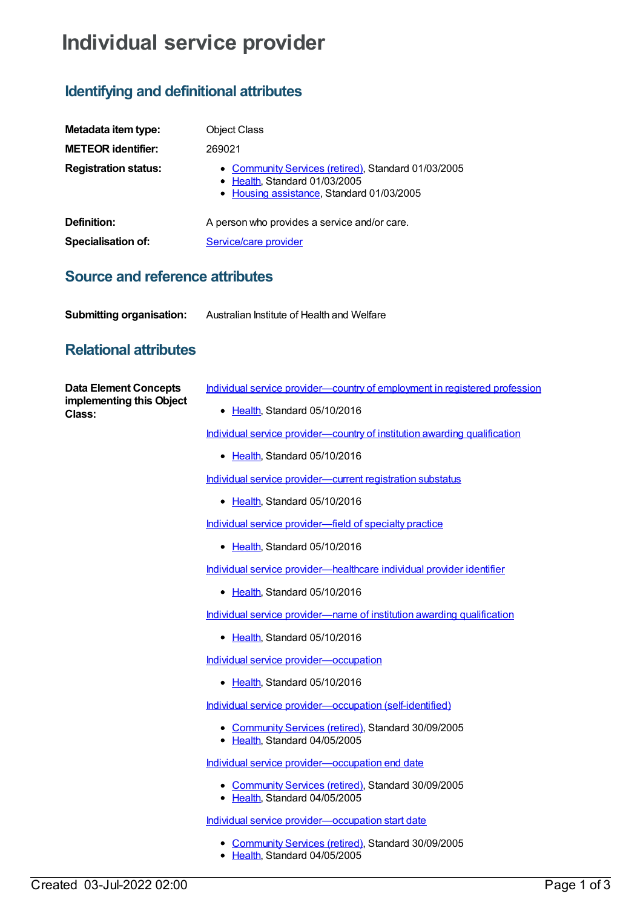# **Individual service provider**

## **Identifying and definitional attributes**

| Metadata item type:         | <b>Object Class</b>                                                                                                               |
|-----------------------------|-----------------------------------------------------------------------------------------------------------------------------------|
| <b>METEOR identifier:</b>   | 269021                                                                                                                            |
| <b>Registration status:</b> | • Community Services (retired), Standard 01/03/2005<br>• Health, Standard 01/03/2005<br>• Housing assistance, Standard 01/03/2005 |
| Definition:                 | A person who provides a service and/or care.                                                                                      |
| Specialisation of:          | Service/care provider                                                                                                             |

#### **Source and reference attributes**

| <b>Submitting organisation:</b> | Australian Institute of Health and Welfare |
|---------------------------------|--------------------------------------------|
|---------------------------------|--------------------------------------------|

### **Relational attributes**

| <b>Data Element Concepts</b><br>implementing this Object<br>Class: | Individual service provider-country of employment in registered profession                                                                                                                                                                                                                                                         |
|--------------------------------------------------------------------|------------------------------------------------------------------------------------------------------------------------------------------------------------------------------------------------------------------------------------------------------------------------------------------------------------------------------------|
|                                                                    | • Health, Standard 05/10/2016                                                                                                                                                                                                                                                                                                      |
|                                                                    | Individual service provider-country of institution awarding qualification                                                                                                                                                                                                                                                          |
|                                                                    | • Health, Standard 05/10/2016                                                                                                                                                                                                                                                                                                      |
|                                                                    | Individual service provider-current registration substatus                                                                                                                                                                                                                                                                         |
|                                                                    | • Health, Standard 05/10/2016                                                                                                                                                                                                                                                                                                      |
|                                                                    | Individual service provider-field of specialty practice                                                                                                                                                                                                                                                                            |
|                                                                    | • Health, Standard 05/10/2016                                                                                                                                                                                                                                                                                                      |
|                                                                    | Individual service provider—healthcare individual provider identifier                                                                                                                                                                                                                                                              |
|                                                                    | • Health, Standard 05/10/2016                                                                                                                                                                                                                                                                                                      |
|                                                                    | Individual service provider-name of institution awarding qualification                                                                                                                                                                                                                                                             |
|                                                                    | • Health, Standard 05/10/2016                                                                                                                                                                                                                                                                                                      |
|                                                                    | Individual service provider-occupation                                                                                                                                                                                                                                                                                             |
|                                                                    | • Health, Standard 05/10/2016                                                                                                                                                                                                                                                                                                      |
|                                                                    | Individual service provider-occupation (self-identified)                                                                                                                                                                                                                                                                           |
|                                                                    | • Community Services (retired), Standard 30/09/2005<br>• Health, Standard 04/05/2005                                                                                                                                                                                                                                               |
|                                                                    | Individual service provider-occupation end date                                                                                                                                                                                                                                                                                    |
|                                                                    | • Community Services (retired), Standard 30/09/2005<br>• Health, Standard 04/05/2005                                                                                                                                                                                                                                               |
|                                                                    | Individual service provider-occupation start date                                                                                                                                                                                                                                                                                  |
|                                                                    | $\mathbf{a}$ $\mathbf{b}$ $\mathbf{c}$ $\mathbf{d}$ $\mathbf{e}$ $\mathbf{e}$ $\mathbf{e}$ $\mathbf{e}$ $\mathbf{e}$ $\mathbf{e}$ $\mathbf{e}$ $\mathbf{e}$ $\mathbf{e}$ $\mathbf{e}$ $\mathbf{e}$ $\mathbf{e}$ $\mathbf{e}$ $\mathbf{e}$ $\mathbf{e}$ $\mathbf{e}$ $\mathbf{e}$ $\mathbf{e}$ $\mathbf{e}$ $\mathbf{e}$ $\mathbf{$ |

- [Community](https://meteor.aihw.gov.au/RegistrationAuthority/1) Services (retired), Standard 30/09/2005
- [Health](https://meteor.aihw.gov.au/RegistrationAuthority/12), Standard 04/05/2005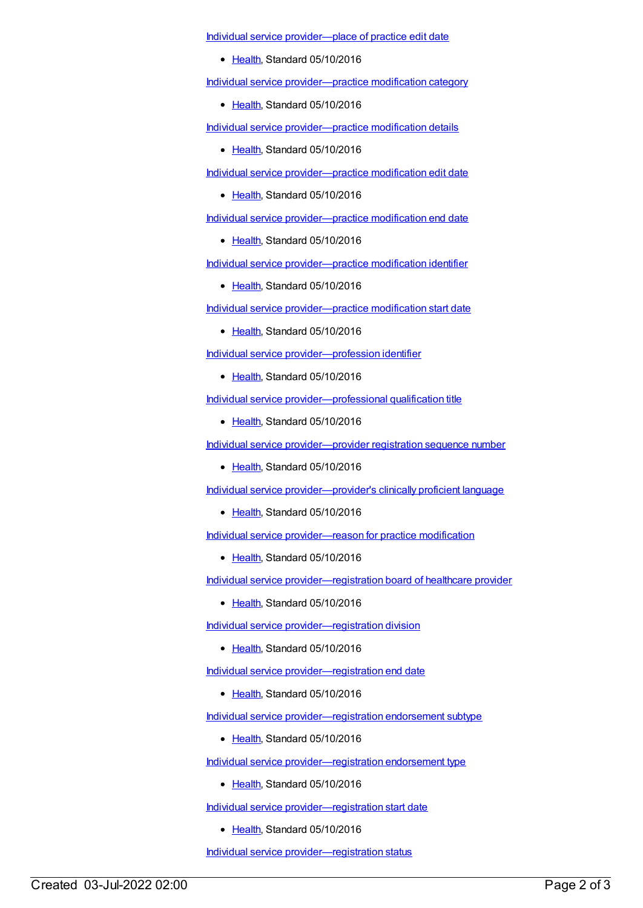Individual service [provider—place](https://meteor.aihw.gov.au/content/523746) of practice edit date

• [Health](https://meteor.aihw.gov.au/RegistrationAuthority/12), Standard 05/10/2016

Individual service [provider—practice](https://meteor.aihw.gov.au/content/525200) modification category

[Health](https://meteor.aihw.gov.au/RegistrationAuthority/12), Standard 05/10/2016

Individual service [provider—practice](https://meteor.aihw.gov.au/content/525105) modification details

Elealth, Standard 05/10/2016

Individual service [provider—practice](https://meteor.aihw.gov.au/content/525134) modification edit date

• [Health](https://meteor.aihw.gov.au/RegistrationAuthority/12), Standard 05/10/2016

Individual service [provider—practice](https://meteor.aihw.gov.au/content/525141) modification end date

• [Health](https://meteor.aihw.gov.au/RegistrationAuthority/12), Standard 05/10/2016

Individual service [provider—practice](https://meteor.aihw.gov.au/content/525009) modification identifier

• [Health](https://meteor.aihw.gov.au/RegistrationAuthority/12), Standard 05/10/2016

Individual service [provider—practice](https://meteor.aihw.gov.au/content/525124) modification start date

• [Health](https://meteor.aihw.gov.au/RegistrationAuthority/12), Standard 05/10/2016

Individual service [provider—profession](https://meteor.aihw.gov.au/content/523949) identifier

• [Health](https://meteor.aihw.gov.au/RegistrationAuthority/12), Standard 05/10/2016

Individual service [provider—professional](https://meteor.aihw.gov.au/content/523511) qualification title

• [Health](https://meteor.aihw.gov.au/RegistrationAuthority/12), Standard 05/10/2016

Individual service [provider—provider](https://meteor.aihw.gov.au/content/524035) registration sequence number

• [Health](https://meteor.aihw.gov.au/RegistrationAuthority/12), Standard 05/10/2016

Individual service [provider—provider's](https://meteor.aihw.gov.au/content/522917) clinically proficient language

• [Health](https://meteor.aihw.gov.au/RegistrationAuthority/12), Standard 05/10/2016

Individual service [provider—reason](https://meteor.aihw.gov.au/content/525255) for practice modification

• [Health](https://meteor.aihw.gov.au/RegistrationAuthority/12), Standard 05/10/2016

Individual service [provider—registration](https://meteor.aihw.gov.au/content/522847) board of healthcare provider

• [Health](https://meteor.aihw.gov.au/RegistrationAuthority/12), Standard 05/10/2016

Individual service [provider—registration](https://meteor.aihw.gov.au/content/524326) division

● [Health](https://meteor.aihw.gov.au/RegistrationAuthority/12), Standard 05/10/2016

Individual service [provider—registration](https://meteor.aihw.gov.au/content/524517) end date

● [Health](https://meteor.aihw.gov.au/RegistrationAuthority/12), Standard 05/10/2016

Individual service [provider—registration](https://meteor.aihw.gov.au/content/525099) endorsement subtype

• [Health](https://meteor.aihw.gov.au/RegistrationAuthority/12), Standard 05/10/2016

Individual service [provider—registration](https://meteor.aihw.gov.au/content/617387) endorsement type

• [Health](https://meteor.aihw.gov.au/RegistrationAuthority/12), Standard 05/10/2016

Individual service [provider—registration](https://meteor.aihw.gov.au/content/524510) start date

Elealth, Standard 05/10/2016

Individual service [provider—registration](https://meteor.aihw.gov.au/content/524401) status